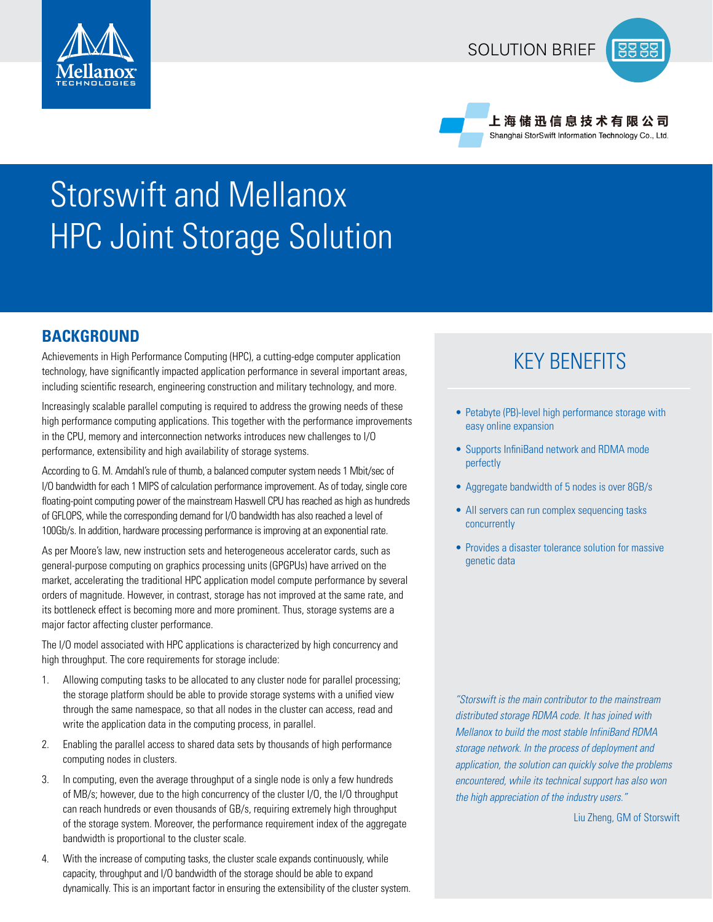

## SOLUTION BRIEF



上 海 储 迅 信 息 技 术 有 限 公 司 Shanghai StorSwift Information Technology Co., Ltd.

# Storswift and Mellanox HPC Joint Storage Solution

## **BACKGROUND**

Achievements in High Performance Computing (HPC), a cutting-edge computer application technology, have significantly impacted application performance in several important areas, including scientific research, engineering construction and military technology, and more.

Increasingly scalable parallel computing is required to address the growing needs of these high performance computing applications. This together with the performance improvements in the CPU, memory and interconnection networks introduces new challenges to I/O performance, extensibility and high availability of storage systems.

According to G. M. Amdahl's rule of thumb, a balanced computer system needs 1 Mbit/sec of I/O bandwidth for each 1 MIPS of calculation performance improvement. As of today, single core floating-point computing power of the mainstream Haswell CPU has reached as high as hundreds of GFLOPS, while the corresponding demand for I/O bandwidth has also reached a level of 100Gb/s. In addition, hardware processing performance is improving at an exponential rate.

As per Moore's law, new instruction sets and heterogeneous accelerator cards, such as general-purpose computing on graphics processing units (GPGPUs) have arrived on the market, accelerating the traditional HPC application model compute performance by several orders of magnitude. However, in contrast, storage has not improved at the same rate, and its bottleneck effect is becoming more and more prominent. Thus, storage systems are a major factor affecting cluster performance.

The I/O model associated with HPC applications is characterized by high concurrency and high throughput. The core requirements for storage include:

- 1. Allowing computing tasks to be allocated to any cluster node for parallel processing; the storage platform should be able to provide storage systems with a unified view through the same namespace, so that all nodes in the cluster can access, read and write the application data in the computing process, in parallel.
- 2. Enabling the parallel access to shared data sets by thousands of high performance computing nodes in clusters.
- 3. In computing, even the average throughput of a single node is only a few hundreds of MB/s; however, due to the high concurrency of the cluster I/O, the I/O throughput can reach hundreds or even thousands of GB/s, requiring extremely high throughput of the storage system. Moreover, the performance requirement index of the aggregate bandwidth is proportional to the cluster scale.
- 4. With the increase of computing tasks, the cluster scale expands continuously, while capacity, throughput and I/O bandwidth of the storage should be able to expand dynamically. This is an important factor in ensuring the extensibility of the cluster system.

## KEY BENEFITS

- Petabyte (PB)-level high performance storage with easy online expansion
- Supports InfiniBand network and RDMA mode perfectly
- Aggregate bandwidth of 5 nodes is over 8GB/s
- All servers can run complex sequencing tasks concurrently
- Provides a disaster tolerance solution for massive genetic data

*"Storswift is the main contributor to the mainstream distributed storage RDMA code. It has joined with Mellanox to build the most stable InfiniBand RDMA storage network. In the process of deployment and application, the solution can quickly solve the problems encountered, while its technical support has also won the high appreciation of the industry users."*

Liu Zheng, GM of Storswift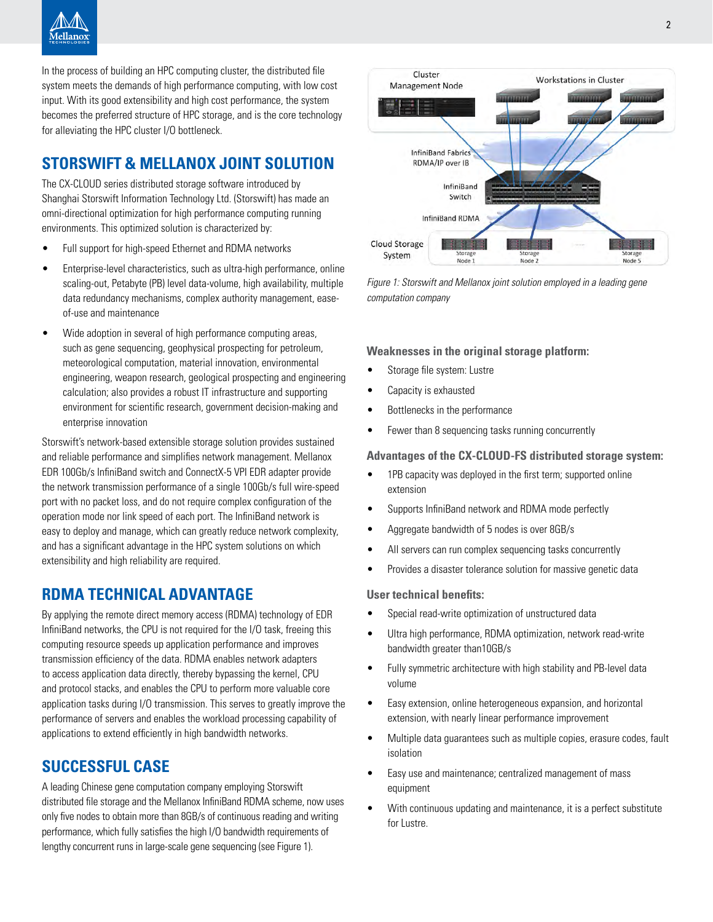

In the process of building an HPC computing cluster, the distributed file system meets the demands of high performance computing, with low cost input. With its good extensibility and high cost performance, the system becomes the preferred structure of HPC storage, and is the core technology for alleviating the HPC cluster I/O bottleneck.

## **STORSWIFT & MELLANOX JOINT SOLUTION**

The CX-CLOUD series distributed storage software introduced by Shanghai Storswift Information Technology Ltd. (Storswift) has made an omni-directional optimization for high performance computing running environments. This optimized solution is characterized by:

- Full support for high-speed Ethernet and RDMA networks
- Enterprise-level characteristics, such as ultra-high performance, online scaling-out, Petabyte (PB) level data-volume, high availability, multiple data redundancy mechanisms, complex authority management, easeof-use and maintenance
- Wide adoption in several of high performance computing areas, such as gene sequencing, geophysical prospecting for petroleum, meteorological computation, material innovation, environmental engineering, weapon research, geological prospecting and engineering calculation; also provides a robust IT infrastructure and supporting environment for scientific research, government decision-making and enterprise innovation

Storswift's network-based extensible storage solution provides sustained and reliable performance and simplifies network management. Mellanox EDR 100Gb/s InfiniBand switch and ConnectX-5 VPI EDR adapter provide the network transmission performance of a single 100Gb/s full wire-speed port with no packet loss, and do not require complex configuration of the operation mode nor link speed of each port. The InfiniBand network is easy to deploy and manage, which can greatly reduce network complexity, and has a significant advantage in the HPC system solutions on which extensibility and high reliability are required.

## **RDMA TECHNICAL ADVANTAGE**

By applying the remote direct memory access (RDMA) technology of EDR InfiniBand networks, the CPU is not required for the I/O task, freeing this computing resource speeds up application performance and improves transmission efficiency of the data. RDMA enables network adapters to access application data directly, thereby bypassing the kernel, CPU and protocol stacks, and enables the CPU to perform more valuable core application tasks during I/O transmission. This serves to greatly improve the performance of servers and enables the workload processing capability of applications to extend efficiently in high bandwidth networks.

## **SUCCESSFUL CASE**

A leading Chinese gene computation company employing Storswift distributed file storage and the Mellanox InfiniBand RDMA scheme, now uses only five nodes to obtain more than 8GB/s of continuous reading and writing performance, which fully satisfies the high I/O bandwidth requirements of lengthy concurrent runs in large-scale gene sequencing (see Figure 1).



*Figure 1: Storswift and Mellanox joint solution employed in a leading gene computation company* 

#### **Weaknesses in the original storage platform:**

- Storage file system: Lustre
- Capacity is exhausted
- Bottlenecks in the performance
- Fewer than 8 sequencing tasks running concurrently

#### **Advantages of the CX-CLOUD-FS distributed storage system:**

- 1PB capacity was deployed in the first term; supported online extension
- Supports InfiniBand network and RDMA mode perfectly
- Aggregate bandwidth of 5 nodes is over 8GB/s
- All servers can run complex sequencing tasks concurrently
- Provides a disaster tolerance solution for massive genetic data

#### **User technical benefits:**

- Special read-write optimization of unstructured data
- Ultra high performance, RDMA optimization, network read-write bandwidth greater than10GB/s
- Fully symmetric architecture with high stability and PB-level data volume
- Easy extension, online heterogeneous expansion, and horizontal extension, with nearly linear performance improvement
- Multiple data guarantees such as multiple copies, erasure codes, fault isolation
- Easy use and maintenance; centralized management of mass equipment
- With continuous updating and maintenance, it is a perfect substitute for Lustre.